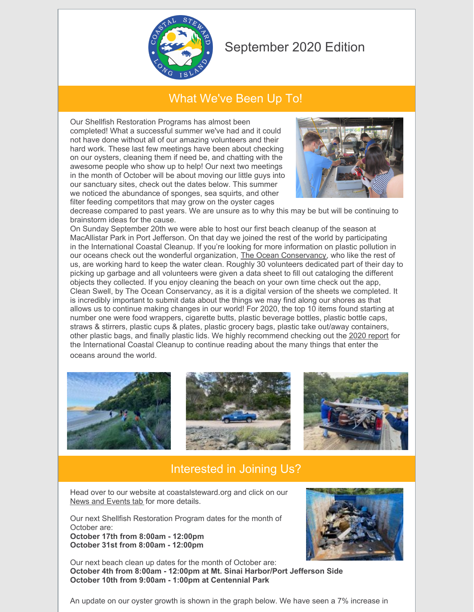

## September 2020 Edition

## What We've Been Up To!

Our Shellfish Restoration Programs has almost been completed! What a successful summer we've had and it could not have done without all of our amazing volunteers and their hard work. These last few meetings have been about checking on our oysters, cleaning them if need be, and chatting with the awesome people who show up to help! Our next two meetings in the month of October will be about moving our little guys into our sanctuary sites, check out the dates below. This summer we noticed the abundance of sponges, sea squirts, and other filter feeding competitors that may grow on the oyster cages



decrease compared to past years. We are unsure as to why this may be but will be continuing to brainstorm ideas for the cause.

On Sunday September 20th we were able to host our first beach cleanup of the season at MacAllistar Park in Port Jefferson. On that day we joined the rest of the world by participating in the International Coastal Cleanup. If you're looking for more information on plastic pollution in our oceans check out the wonderful organization, The Ocean [Conservancy](https://oceanconservancy.org/), who like the rest of us, are working hard to keep the water clean. Roughly 30 volunteers dedicated part of their day to picking up garbage and all volunteers were given a data sheet to fill out cataloging the different objects they collected. If you enjoy cleaning the beach on your own time check out the app, Clean Swell, by The Ocean Conservancy, as it is a digital version of the sheets we completed. It is incredibly important to submit data about the things we may find along our shores as that allows us to continue making changes in our world! For 2020, the top 10 items found starting at number one were food wrappers, cigarette butts, plastic beverage bottles, plastic bottle caps, straws & stirrers, plastic cups & plates, plastic grocery bags, plastic take out/away containers, other plastic bags, and finally plastic lids. We highly recommend checking out the 2020 [report](https://oceanconservancy.org/trash-free-seas/international-coastal-cleanup/annual-data-release/) for the International Coastal Cleanup to continue reading about the many things that enter the

oceans around the world.







## Interested in Joining Us?

Head over to our website at coastalsteward.org and click on our News and [Events](https://www.coastalsteward.org/news-and-events.html) tab for more details.

Our next Shellfish Restoration Program dates for the month of October are: **October 17th from 8:00am - 12:00pm October 31st from 8:00am - 12:00pm**



Our next beach clean up dates for the month of October are: **October 4th from 8:00am - 12:00pm at Mt. Sinai Harbor/Port Jefferson Side October 10th from 9:00am - 1:00pm at Centennial Park**

An update on our oyster growth is shown in the graph below. We have seen a 7% increase in